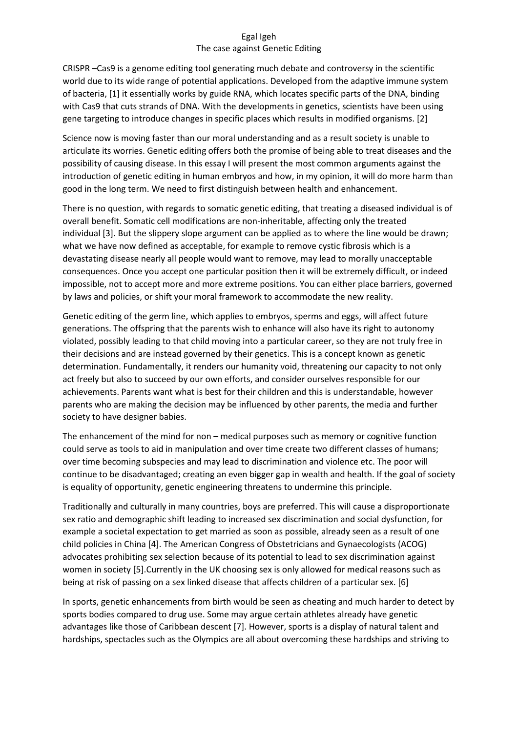## Egal Igeh The case against Genetic Editing

CRISPR –Cas9 is a genome editing tool generating much debate and controversy in the scientific world due to its wide range of potential applications. Developed from the adaptive immune system of bacteria, [1] it essentially works by guide RNA, which locates specific parts of the DNA, binding with Cas9 that cuts strands of DNA. With the developments in genetics, scientists have been using gene targeting to introduce changes in specific places which results in modified organisms. [2]

Science now is moving faster than our moral understanding and as a result society is unable to articulate its worries. Genetic editing offers both the promise of being able to treat diseases and the possibility of causing disease. In this essay I will present the most common arguments against the introduction of genetic editing in human embryos and how, in my opinion, it will do more harm than good in the long term. We need to first distinguish between health and enhancement.

There is no question, with regards to somatic genetic editing, that treating a diseased individual is of overall benefit. Somatic cell modifications are non-inheritable, affecting only the treated individual [3]. But the slippery slope argument can be applied as to where the line would be drawn; what we have now defined as acceptable, for example to remove cystic fibrosis which is a devastating disease nearly all people would want to remove, may lead to morally unacceptable consequences. Once you accept one particular position then it will be extremely difficult, or indeed impossible, not to accept more and more extreme positions. You can either place barriers, governed by laws and policies, or shift your moral framework to accommodate the new reality.

Genetic editing of the germ line, which applies to embryos, sperms and eggs, will affect future generations. The offspring that the parents wish to enhance will also have its right to autonomy violated, possibly leading to that child moving into a particular career, so they are not truly free in their decisions and are instead governed by their genetics. This is a concept known as genetic determination. Fundamentally, it renders our humanity void, threatening our capacity to not only act freely but also to succeed by our own efforts, and consider ourselves responsible for our achievements. Parents want what is best for their children and this is understandable, however parents who are making the decision may be influenced by other parents, the media and further society to have designer babies.

The enhancement of the mind for non – medical purposes such as memory or cognitive function could serve as tools to aid in manipulation and over time create two different classes of humans; over time becoming subspecies and may lead to discrimination and violence etc. The poor will continue to be disadvantaged; creating an even bigger gap in wealth and health. If the goal of society is equality of opportunity, genetic engineering threatens to undermine this principle.

Traditionally and culturally in many countries, boys are preferred. This will cause a disproportionate sex ratio and demographic shift leading to increased sex discrimination and social dysfunction, for example a societal expectation to get married as soon as possible, already seen as a result of one child policies in China [4]. The American Congress of Obstetricians and Gynaecologists (ACOG) advocates prohibiting sex selection because of its potential to lead to sex discrimination against women in society [5].Currently in the UK choosing sex is only allowed for medical reasons such as being at risk of passing on a sex linked disease that affects children of a particular sex. [6]

In sports, genetic enhancements from birth would be seen as cheating and much harder to detect by sports bodies compared to drug use. Some may argue certain athletes already have genetic advantages like those of Caribbean descent [7]. However, sports is a display of natural talent and hardships, spectacles such as the Olympics are all about overcoming these hardships and striving to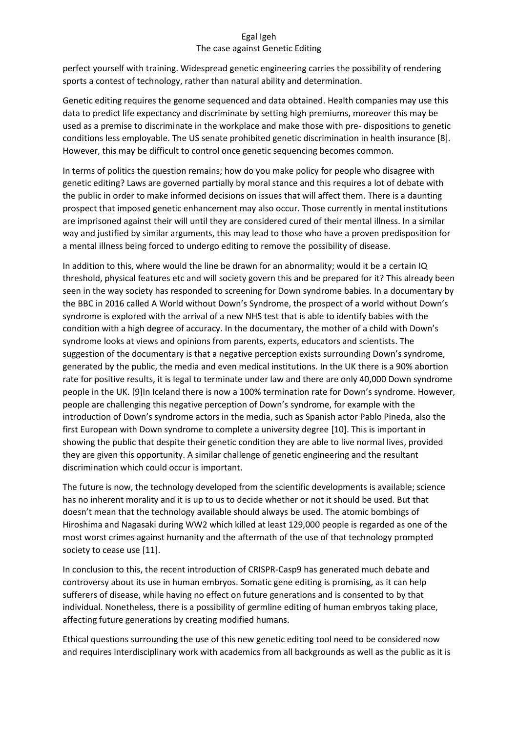## Egal Igeh The case against Genetic Editing

perfect yourself with training. Widespread genetic engineering carries the possibility of rendering sports a contest of technology, rather than natural ability and determination.

Genetic editing requires the genome sequenced and data obtained. Health companies may use this data to predict life expectancy and discriminate by setting high premiums, moreover this may be used as a premise to discriminate in the workplace and make those with pre- dispositions to genetic conditions less employable. The US senate prohibited genetic discrimination in health insurance [8]. However, this may be difficult to control once genetic sequencing becomes common.

In terms of politics the question remains; how do you make policy for people who disagree with genetic editing? Laws are governed partially by moral stance and this requires a lot of debate with the public in order to make informed decisions on issues that will affect them. There is a daunting prospect that imposed genetic enhancement may also occur. Those currently in mental institutions are imprisoned against their will until they are considered cured of their mental illness. In a similar way and justified by similar arguments, this may lead to those who have a proven predisposition for a mental illness being forced to undergo editing to remove the possibility of disease.

In addition to this, where would the line be drawn for an abnormality; would it be a certain IQ threshold, physical features etc and will society govern this and be prepared for it? This already been seen in the way society has responded to screening for Down syndrome babies. In a documentary by the BBC in 2016 called A World without Down's Syndrome, the prospect of a world without Down's syndrome is explored with the arrival of a new NHS test that is able to identify babies with the condition with a high degree of accuracy. In the documentary, the mother of a child with Down's syndrome looks at views and opinions from parents, experts, educators and scientists. The suggestion of the documentary is that a negative perception exists surrounding Down's syndrome, generated by the public, the media and even medical institutions. In the UK there is a 90% abortion rate for positive results, it is legal to terminate under law and there are only 40,000 Down syndrome people in the UK. [9]In Iceland there is now a 100% termination rate for Down's syndrome. However, people are challenging this negative perception of Down's syndrome, for example with the introduction of Down's syndrome actors in the media, such as Spanish actor Pablo Pineda, also the first European with Down syndrome to complete a university degree [10]. This is important in showing the public that despite their genetic condition they are able to live normal lives, provided they are given this opportunity. A similar challenge of genetic engineering and the resultant discrimination which could occur is important.

The future is now, the technology developed from the scientific developments is available; science has no inherent morality and it is up to us to decide whether or not it should be used. But that doesn't mean that the technology available should always be used. The atomic bombings of Hiroshima and Nagasaki during WW2 which killed at least 129,000 people is regarded as one of the most worst crimes against humanity and the aftermath of the use of that technology prompted society to cease use [11].

In conclusion to this, the recent introduction of CRISPR-Casp9 has generated much debate and controversy about its use in human embryos. Somatic gene editing is promising, as it can help sufferers of disease, while having no effect on future generations and is consented to by that individual. Nonetheless, there is a possibility of germline editing of human embryos taking place, affecting future generations by creating modified humans.

Ethical questions surrounding the use of this new genetic editing tool need to be considered now and requires interdisciplinary work with academics from all backgrounds as well as the public as it is